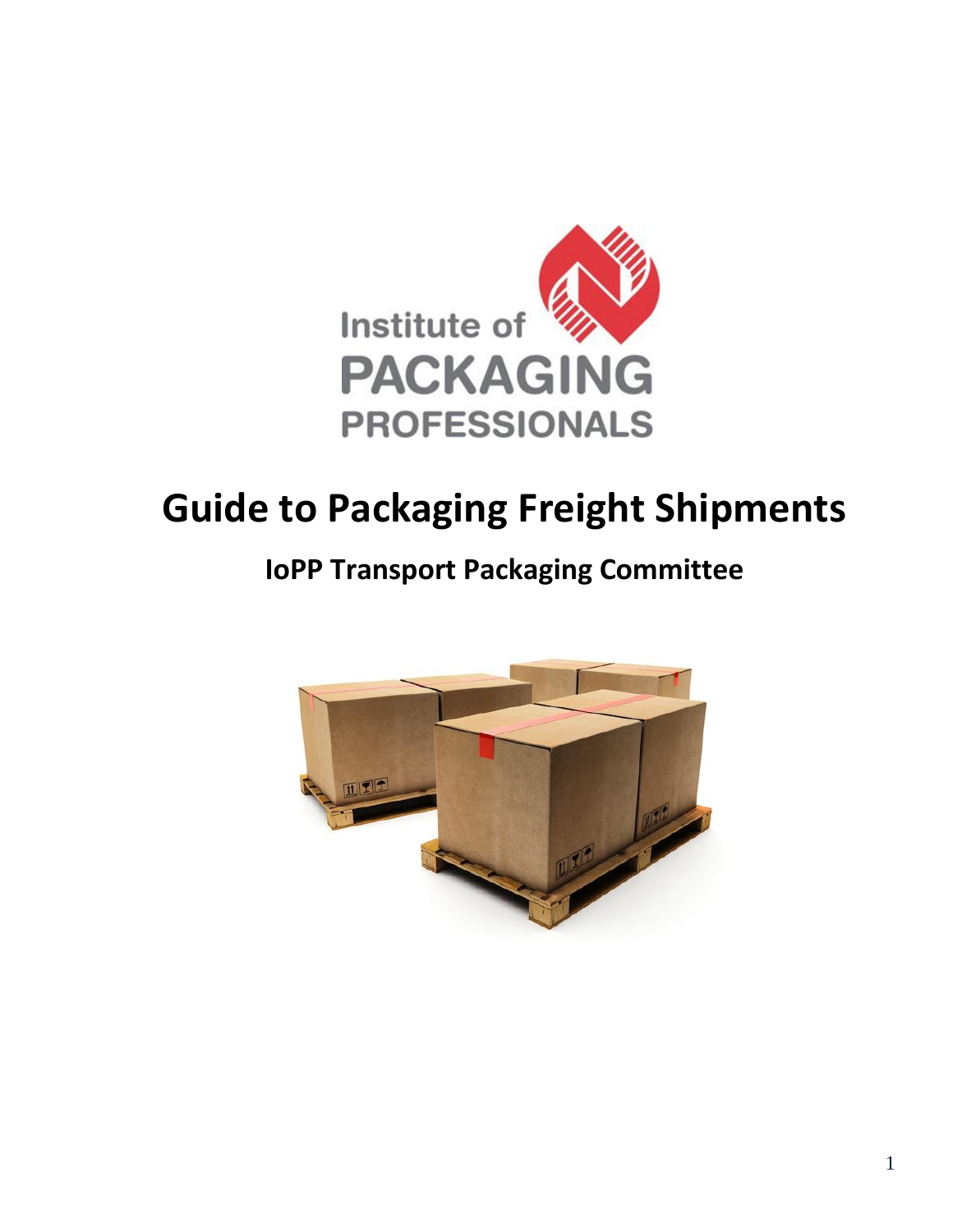

# **Guide to Packaging Freight Shipments**

## **IoPP Transport Packaging Committee**

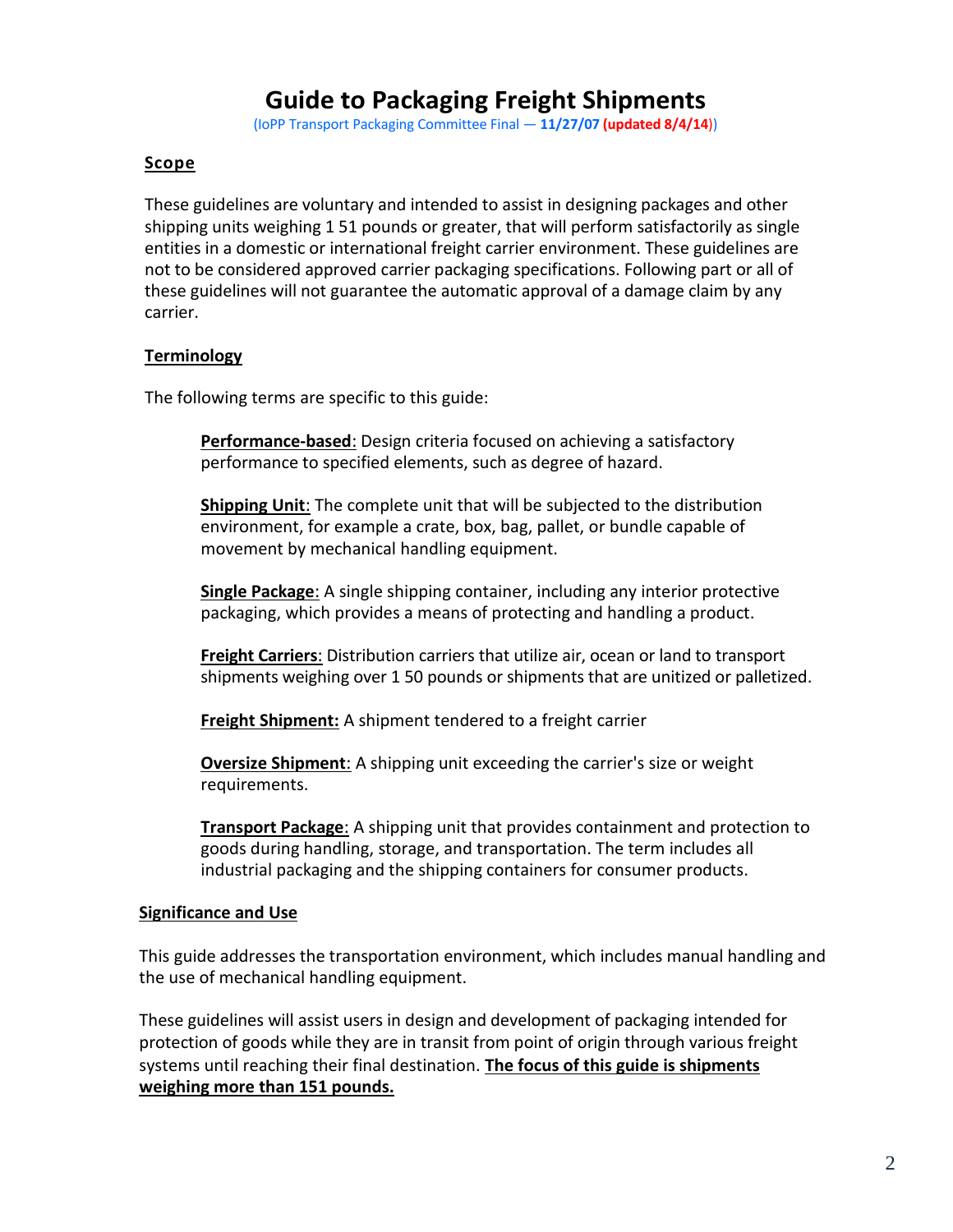### **Guide to Packaging Freight Shipments**

(IoPP Transport Packaging Committee Final — **11/27/07 (updated 8/4/14**))

#### **Scope**

These guidelines are voluntary and intended to assist in designing packages and other shipping units weighing 1 51 pounds or greater, that will perform satisfactorily as single entities in a domestic or international freight carrier environment. These guidelines are not to be considered approved carrier packaging specifications. Following part or all of these guidelines will not guarantee the automatic approval of a damage claim by any carrier.

#### **Terminology**

The following terms are specific to this guide:

**Performance-based**: Design criteria focused on achieving a satisfactory performance to specified elements, such as degree of hazard.

**Shipping Unit**: The complete unit that will be subjected to the distribution environment, for example a crate, box, bag, pallet, or bundle capable of movement by mechanical handling equipment.

**Single Package**: A single shipping container, including any interior protective packaging, which provides a means of protecting and handling a product.

**Freight Carriers**: Distribution carriers that utilize air, ocean or land to transport shipments weighing over 1 50 pounds or shipments that are unitized or palletized.

**Freight Shipment:** A shipment tendered to a freight carrier

**Oversize Shipment**: A shipping unit exceeding the carrier's size or weight requirements.

**Transport Package**: A shipping unit that provides containment and protection to goods during handling, storage, and transportation. The term includes all industrial packaging and the shipping containers for consumer products.

#### **Significance and Use**

This guide addresses the transportation environment, which includes manual handling and the use of mechanical handling equipment.

These guidelines will assist users in design and development of packaging intended for protection of goods while they are in transit from point of origin through various freight systems until reaching their final destination. **The focus of this guide is shipments weighing more than 151 pounds.**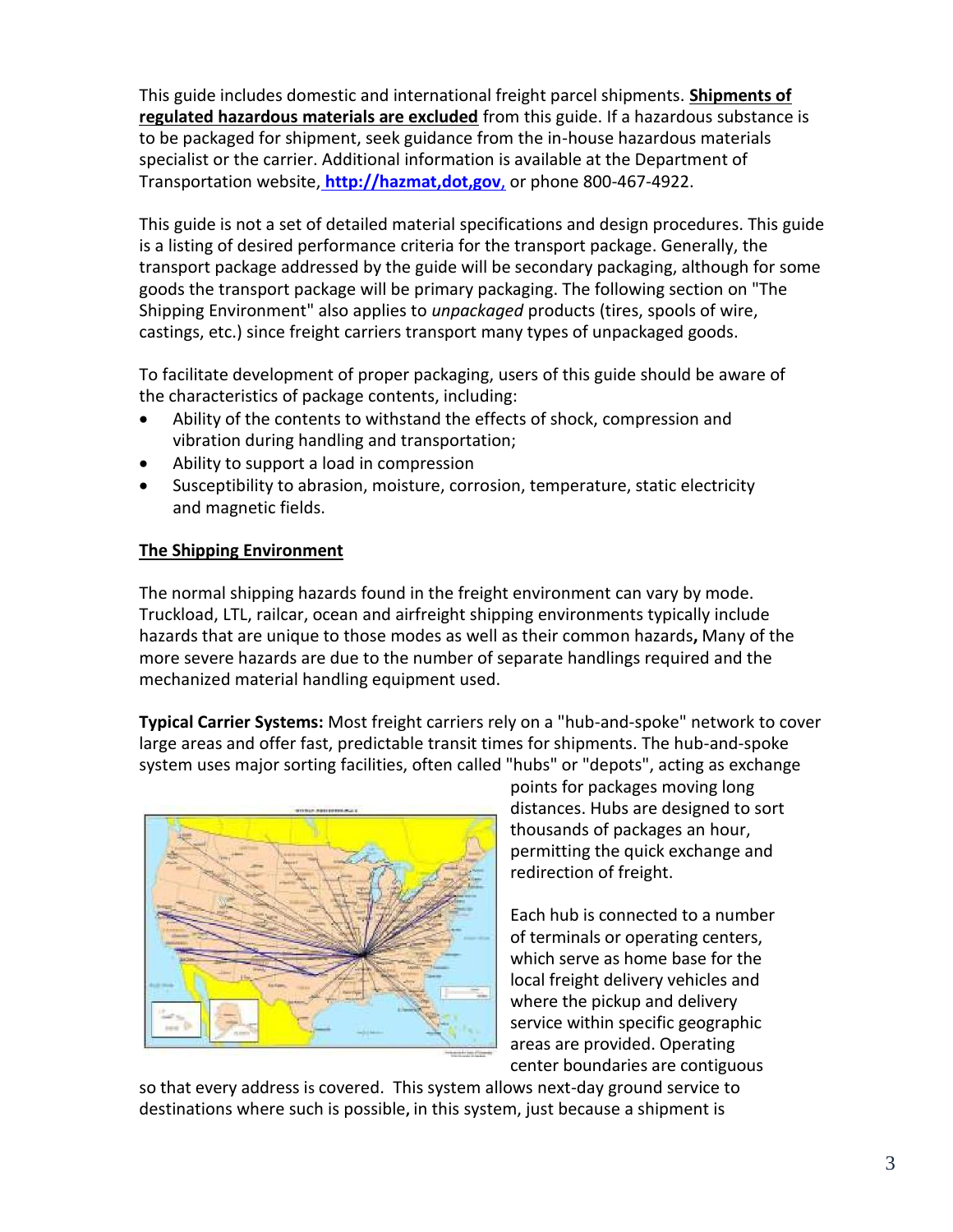This guide includes domestic and international freight parcel shipments. **Shipments of regulated hazardous materials are excluded** from this guide. If a hazardous substance is to be packaged for shipment, seek guidance from the in-house hazardous materials specialist or the carrier. Additional information is available at the Department of Transportation website, **[http://hazmat,](http://hazmat/)dot,gov**, or phone 800-467-4922.

This guide is not a set of detailed material specifications and design procedures. This guide is a listing of desired performance criteria for the transport package. Generally, the transport package addressed by the guide will be secondary packaging, although for some goods the transport package will be primary packaging. The following section on "The Shipping Environment" also applies to *unpackaged* products (tires, spools of wire, castings, etc.) since freight carriers transport many types of unpackaged goods.

To facilitate development of proper packaging, users of this guide should be aware of the characteristics of package contents, including:

- Ability of the contents to withstand the effects of shock, compression and vibration during handling and transportation;
- Ability to support a load in compression
- Susceptibility to abrasion, moisture, corrosion, temperature, static electricity and magnetic fields.

#### **The Shipping Environment**

The normal shipping hazards found in the freight environment can vary by mode. Truckload, LTL, railcar, ocean and airfreight shipping environments typically include hazards that are unique to those modes as well as their common hazards**,** Many of the more severe hazards are due to the number of separate handlings required and the mechanized material handling equipment used.

**Typical Carrier Systems:** Most freight carriers rely on a "hub-and-spoke" network to cover large areas and offer fast, predictable transit times for shipments. The hub-and-spoke system uses major sorting facilities, often called "hubs" or "depots", acting as exchange



points for packages moving long distances. Hubs are designed to sort thousands of packages an hour, permitting the quick exchange and redirection of freight.

Each hub is connected to a number of terminals or operating centers, which serve as home base for the local freight delivery vehicles and where the pickup and delivery service within specific geographic areas are provided. Operating center boundaries are contiguous

so that every address is covered. This system allows next-day ground service to destinations where such is possible**,** in this system, just because a shipment is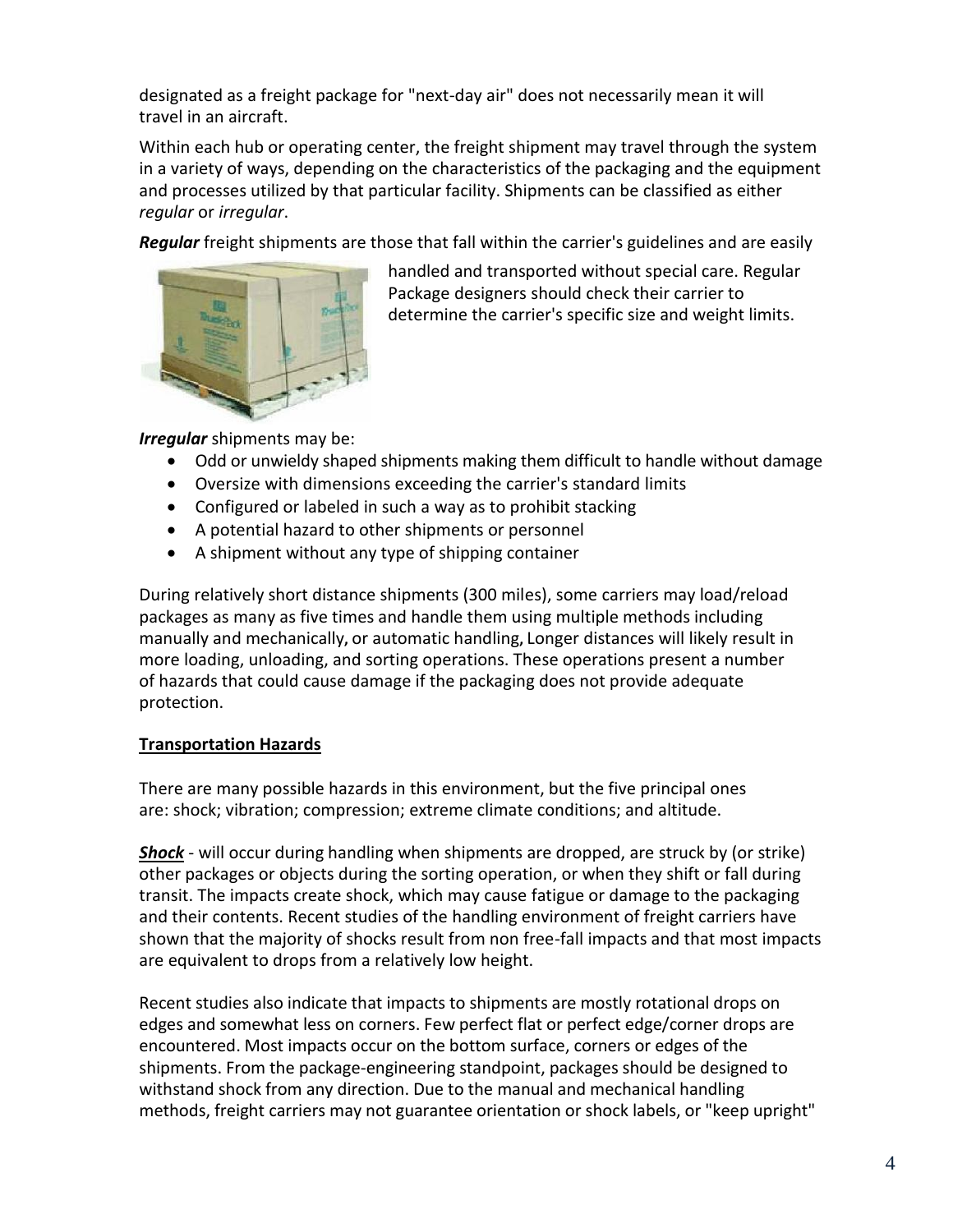designated as a freight package for "next-day air" does not necessarily mean it will travel in an aircraft.

Within each hub or operating center, the freight shipment may travel through the system in a variety of ways, depending on the characteristics of the packaging and the equipment and processes utilized by that particular facility. Shipments can be classified as either *regular* or *irregular*.

*Regular* freight shipments are those that fall within the carrier's guidelines and are easily



handled and transported without special care. Regular Package designers should check their carrier to determine the carrier's specific size and weight limits.

*Irregular* shipments may be:

- Odd or unwieldy shaped shipments making them difficult to handle without damage
- Oversize with dimensions exceeding the carrier's standard limits
- Configured or labeled in such a way as to prohibit stacking
- A potential hazard to other shipments or personnel
- A shipment without any type of shipping container

During relatively short distance shipments (300 miles), some carriers may load/reload packages as many as five times and handle them using multiple methods including manually and mechanically**,** or automatic handling**,** Longer distances will likely result in more loading, unloading, and sorting operations. These operations present a number of hazards that could cause damage if the packaging does not provide adequate protection.

#### **Transportation Hazards**

There are many possible hazards in this environment, but the five principal ones are: shock; vibration; compression; extreme climate conditions; and altitude.

*Shock* - will occur during handling when shipments are dropped, are struck by (or strike) other packages or objects during the sorting operation, or when they shift or fall during transit. The impacts create shock, which may cause fatigue or damage to the packaging and their contents. Recent studies of the handling environment of freight carriers have shown that the majority of shocks result from non free-fall impacts and that most impacts are equivalent to drops from a relatively low height.

Recent studies also indicate that impacts to shipments are mostly rotational drops on edges and somewhat less on corners. Few perfect flat or perfect edge/corner drops are encountered. Most impacts occur on the bottom surface, corners or edges of the shipments. From the package-engineering standpoint, packages should be designed to withstand shock from any direction. Due to the manual and mechanical handling methods, freight carriers may not guarantee orientation or shock labels, or "keep upright"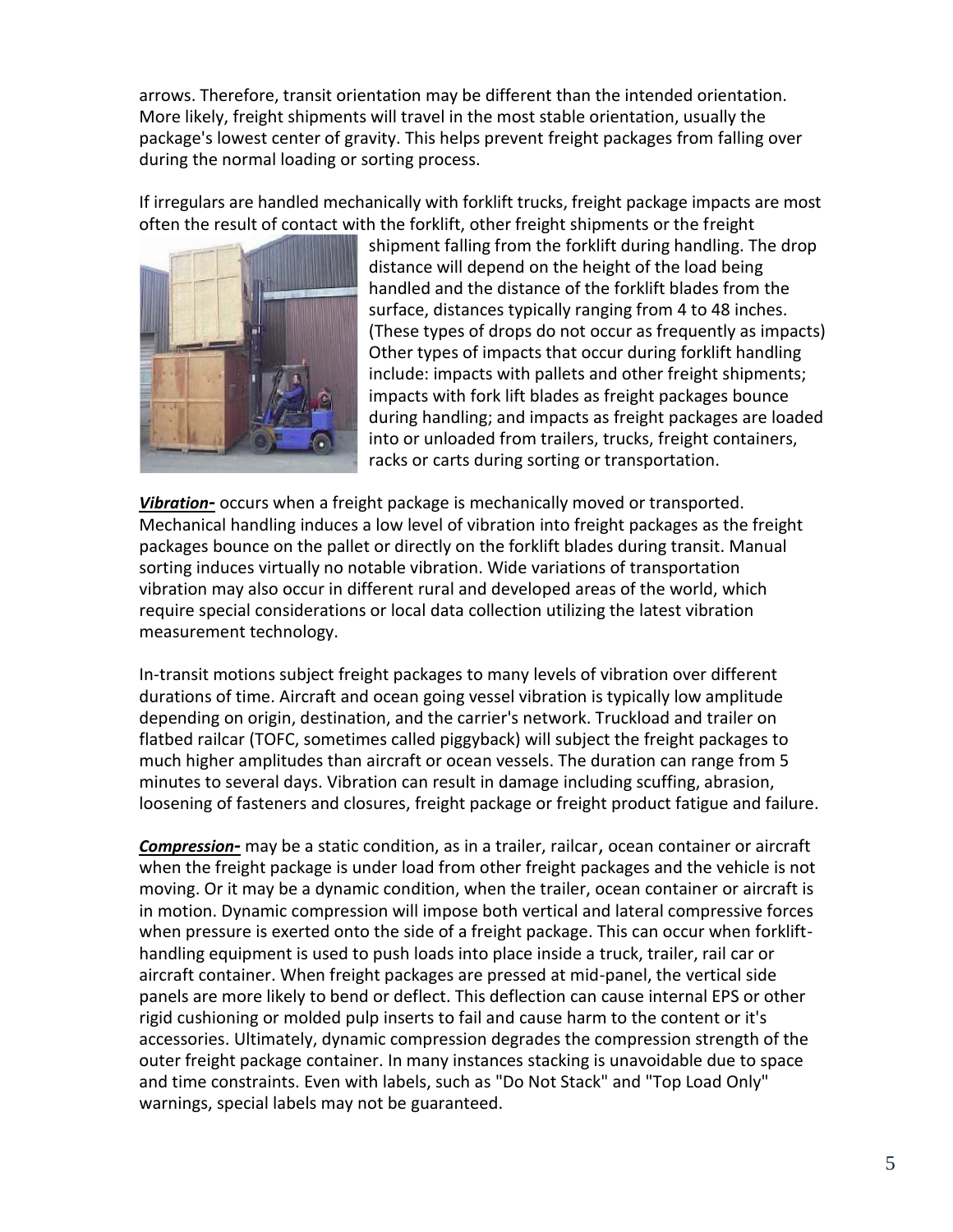arrows. Therefore, transit orientation may be different than the intended orientation. More likely, freight shipments will travel in the most stable orientation, usually the package's lowest center of gravity. This helps prevent freight packages from falling over during the normal loading or sorting process.

If irregulars are handled mechanically with forklift trucks, freight package impacts are most often the result of contact with the forklift, other freight shipments or the freight



shipment falling from the forklift during handling. The drop distance will depend on the height of the load being handled and the distance of the forklift blades from the surface, distances typically ranging from 4 to 48 inches. (These types of drops do not occur as frequently as impacts) Other types of impacts that occur during forklift handling include: impacts with pallets and other freight shipments; impacts with fork lift blades as freight packages bounce during handling; and impacts as freight packages are loaded into or unloaded from trailers, trucks, freight containers, racks or carts during sorting or transportation.

*Vibration-* occurs when a freight package is mechanically moved or transported. Mechanical handling induces a low level of vibration into freight packages as the freight packages bounce on the pallet or directly on the forklift blades during transit. Manual sorting induces virtually no notable vibration. Wide variations of transportation vibration may also occur in different rural and developed areas of the world, which require special considerations or local data collection utilizing the latest vibration measurement technology.

In-transit motions subject freight packages to many levels of vibration over different durations of time. Aircraft and ocean going vessel vibration is typically low amplitude depending on origin, destination, and the carrier's network. Truckload and trailer on flatbed railcar (TOFC, sometimes called piggyback) will subject the freight packages to much higher amplitudes than aircraft or ocean vessels. The duration can range from 5 minutes to several days. Vibration can result in damage including scuffing, abrasion, loosening of fasteners and closures, freight package or freight product fatigue and failure.

*Compression-* may be a static condition, as in a trailer, railcar, ocean container or aircraft when the freight package is under load from other freight packages and the vehicle is not moving. Or it may be a dynamic condition, when the trailer, ocean container or aircraft is in motion. Dynamic compression will impose both vertical and lateral compressive forces when pressure is exerted onto the side of a freight package. This can occur when forklifthandling equipment is used to push loads into place inside a truck, trailer, rail car or aircraft container. When freight packages are pressed at mid-panel, the vertical side panels are more likely to bend or deflect. This deflection can cause internal EPS or other rigid cushioning or molded pulp inserts to fail and cause harm to the content or it's accessories. Ultimately, dynamic compression degrades the compression strength of the outer freight package container. In many instances stacking is unavoidable due to space and time constraints. Even with labels, such as "Do Not Stack" and "Top Load Only" warnings, special labels may not be guaranteed.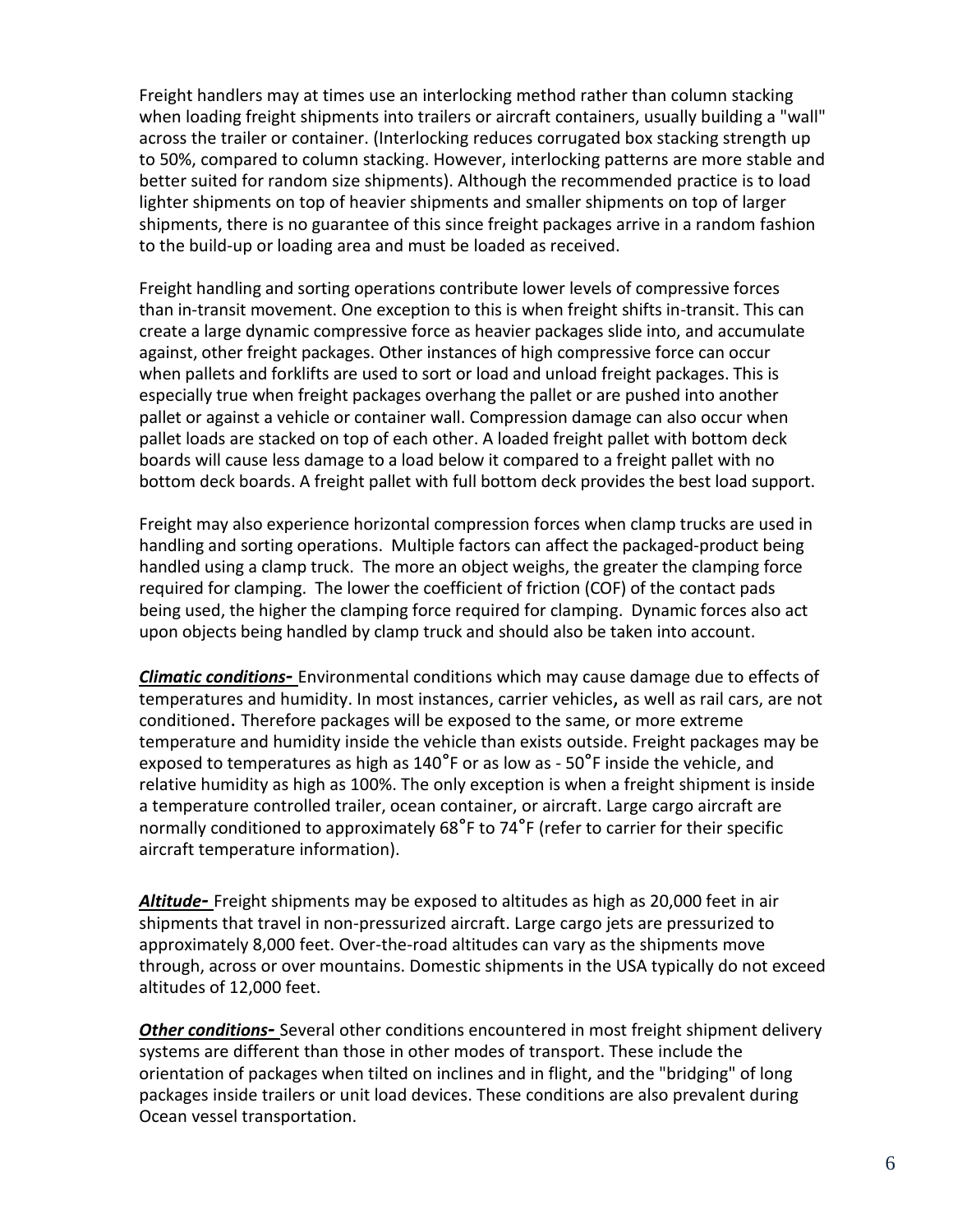Freight handlers may at times use an interlocking method rather than column stacking when loading freight shipments into trailers or aircraft containers, usually building a "wall" across the trailer or container. (Interlocking reduces corrugated box stacking strength up to 50%, compared to column stacking. However, interlocking patterns are more stable and better suited for random size shipments). Although the recommended practice is to load lighter shipments on top of heavier shipments and smaller shipments on top of larger shipments, there is no guarantee of this since freight packages arrive in a random fashion to the build-up or loading area and must be loaded as received.

Freight handling and sorting operations contribute lower levels of compressive forces than in-transit movement. One exception to this is when freight shifts in-transit. This can create a large dynamic compressive force as heavier packages slide into, and accumulate against, other freight packages. Other instances of high compressive force can occur when pallets and forklifts are used to sort or load and unload freight packages. This is especially true when freight packages overhang the pallet or are pushed into another pallet or against a vehicle or container wall. Compression damage can also occur when pallet loads are stacked on top of each other. A loaded freight pallet with bottom deck boards will cause less damage to a load below it compared to a freight pallet with no bottom deck boards. A freight pallet with full bottom deck provides the best load support.

Freight may also experience horizontal compression forces when clamp trucks are used in handling and sorting operations. Multiple factors can affect the packaged-product being handled using a clamp truck. The more an object weighs, the greater the clamping force required for clamping. The lower the coefficient of friction (COF) of the contact pads being used, the higher the clamping force required for clamping. Dynamic forces also act upon objects being handled by clamp truck and should also be taken into account.

*Climatic conditions-* Environmental conditions which may cause damage due to effects of temperatures and humidity. In most instances, carrier vehicles, as well as rail cars, are not conditioned. Therefore packages will be exposed to the same, or more extreme temperature and humidity inside the vehicle than exists outside. Freight packages may be exposed to temperatures as high as  $140^{\circ}$ F or as low as -  $50^{\circ}$ F inside the vehicle, and relative humidity as high as 100%. The only exception is when a freight shipment is inside a temperature controlled trailer, ocean container, or aircraft. Large cargo aircraft are normally conditioned to approximately  $68^{\circ}$ F to 74 $^{\circ}$ F (refer to carrier for their specific aircraft temperature information).

*Altitude-* Freight shipments may be exposed to altitudes as high as 20,000 feet in air shipments that travel in non-pressurized aircraft. Large cargo jets are pressurized to approximately 8,000 feet. Over-the-road altitudes can vary as the shipments move through, across or over mountains. Domestic shipments in the USA typically do not exceed altitudes of 12,000 feet.

*Other conditions-* Several other conditions encountered in most freight shipment delivery systems are different than those in other modes of transport. These include the orientation of packages when tilted on inclines and in flight, and the "bridging" of long packages inside trailers or unit load devices. These conditions are also prevalent during Ocean vessel transportation.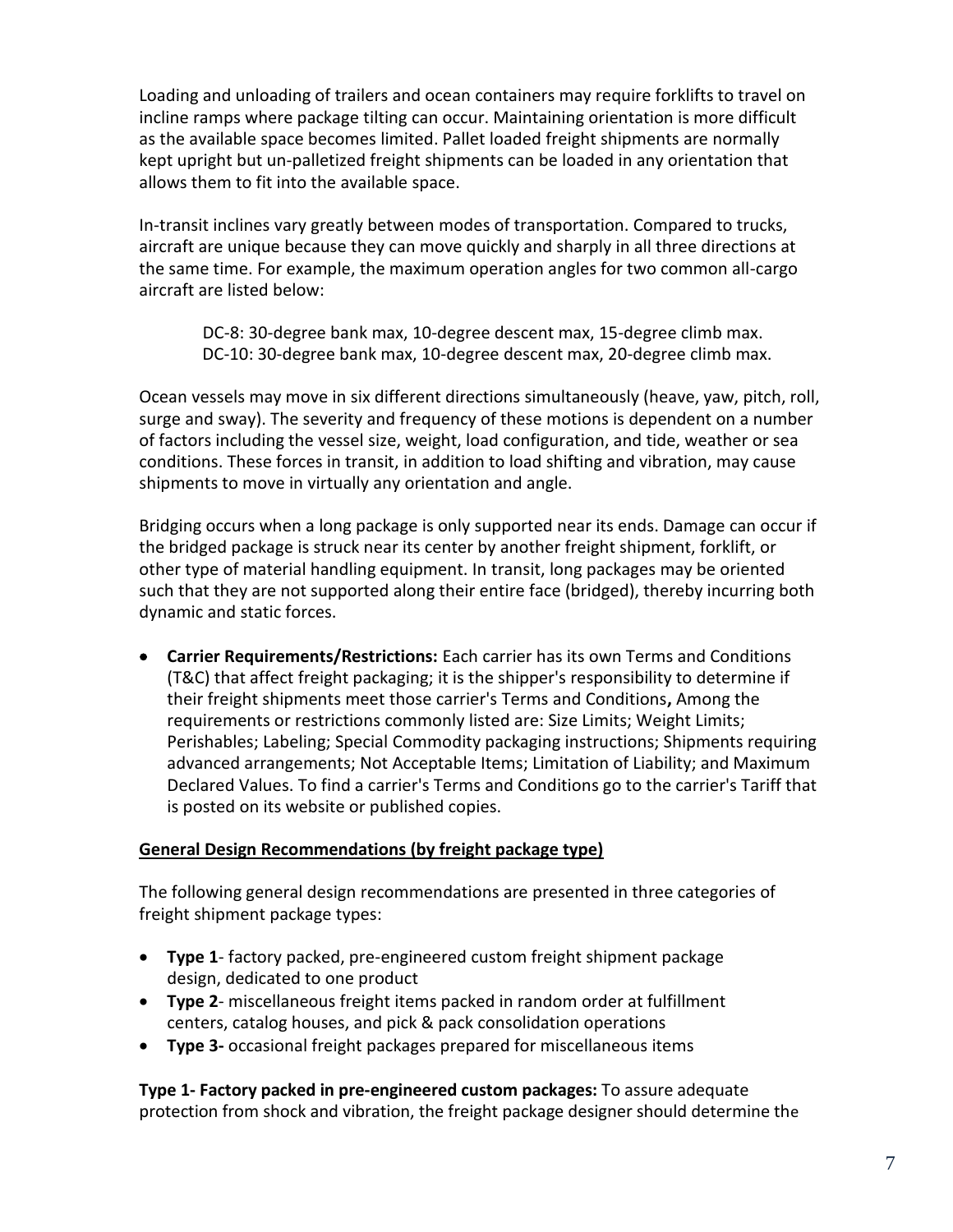Loading and unloading of trailers and ocean containers may require forklifts to travel on incline ramps where package tilting can occur. Maintaining orientation is more difficult as the available space becomes limited. Pallet loaded freight shipments are normally kept upright but un-palletized freight shipments can be loaded in any orientation that allows them to fit into the available space.

In-transit inclines vary greatly between modes of transportation. Compared to trucks, aircraft are unique because they can move quickly and sharply in all three directions at the same time. For example, the maximum operation angles for two common all-cargo aircraft are listed below:

DC-8: 30-degree bank max, 10-degree descent max, 15-degree climb max. DC-10: 30-degree bank max, 10-degree descent max, 20-degree climb max.

Ocean vessels may move in six different directions simultaneously (heave, yaw, pitch, roll, surge and sway). The severity and frequency of these motions is dependent on a number of factors including the vessel size, weight, load configuration, and tide, weather or sea conditions. These forces in transit, in addition to load shifting and vibration, may cause shipments to move in virtually any orientation and angle.

Bridging occurs when a long package is only supported near its ends. Damage can occur if the bridged package is struck near its center by another freight shipment, forklift, or other type of material handling equipment. In transit, long packages may be oriented such that they are not supported along their entire face (bridged), thereby incurring both dynamic and static forces.

 **Carrier Requirements/Restrictions:** Each carrier has its own Terms and Conditions (T&C) that affect freight packaging; it is the shipper's responsibility to determine if their freight shipments meet those carrier's Terms and Conditions**,** Among the requirements or restrictions commonly listed are: Size Limits; Weight Limits; Perishables; Labeling; Special Commodity packaging instructions; Shipments requiring advanced arrangements; Not Acceptable Items; Limitation of Liability; and Maximum Declared Values. To find a carrier's Terms and Conditions go to the carrier's Tariff that is posted on its website or published copies.

#### **General Design Recommendations (by freight package type)**

The following general design recommendations are presented in three categories of freight shipment package types:

- **Type 1** factory packed, pre-engineered custom freight shipment package design, dedicated to one product
- **Type 2** miscellaneous freight items packed in random order at fulfillment centers, catalog houses, and pick & pack consolidation operations
- **Type 3-** occasional freight packages prepared for miscellaneous items

**Type 1- Factory packed in pre-engineered custom packages:** To assure adequate protection from shock and vibration, the freight package designer should determine the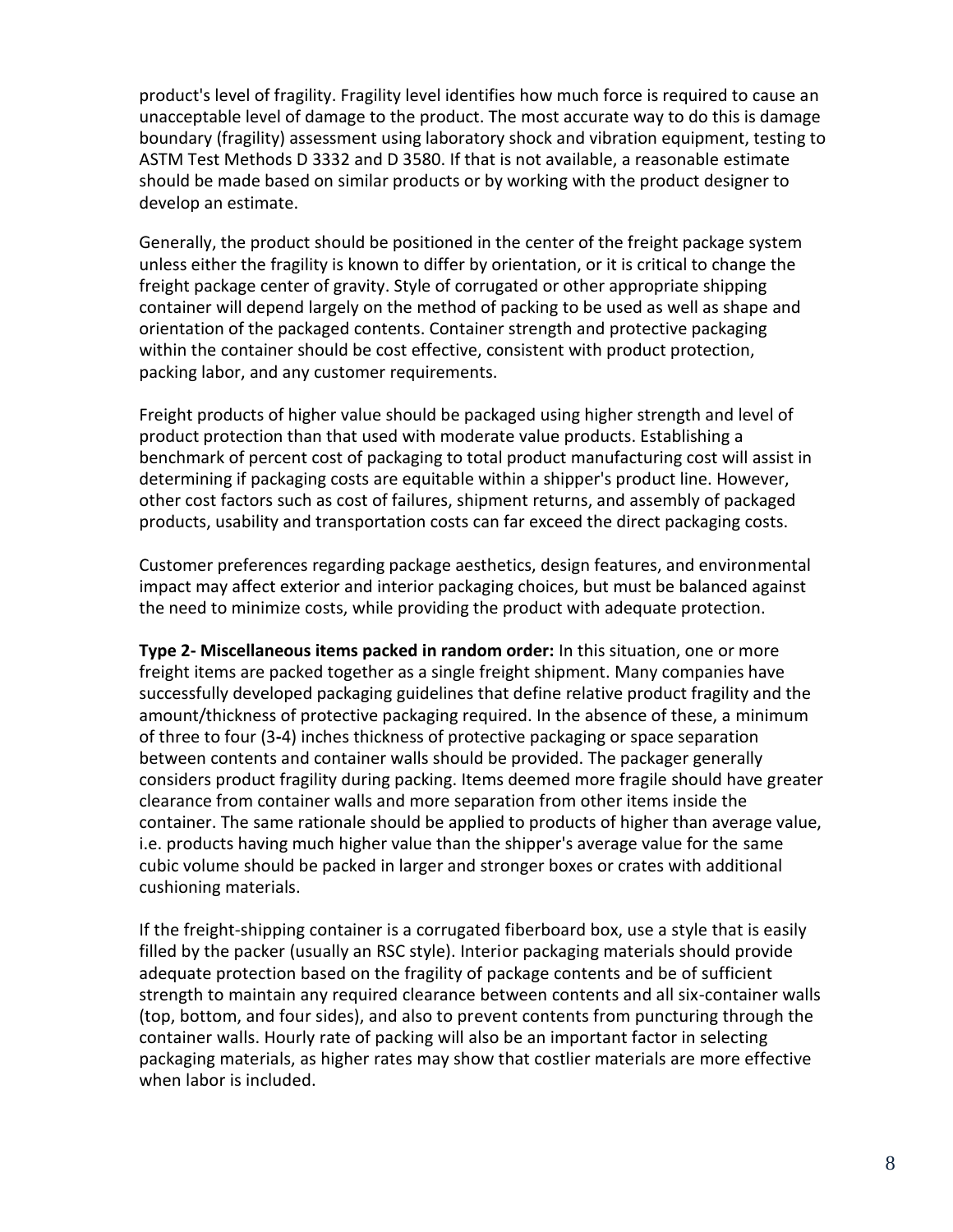product's level of fragility. Fragility level identifies how much force is required to cause an unacceptable level of damage to the product. The most accurate way to do this is damage boundary (fragility) assessment using laboratory shock and vibration equipment, testing to ASTM Test Methods D 3332 and D 3580. If that is not available, a reasonable estimate should be made based on similar products or by working with the product designer to develop an estimate.

Generally, the product should be positioned in the center of the freight package system unless either the fragility is known to differ by orientation, or it is critical to change the freight package center of gravity. Style of corrugated or other appropriate shipping container will depend largely on the method of packing to be used as well as shape and orientation of the packaged contents. Container strength and protective packaging within the container should be cost effective, consistent with product protection, packing labor, and any customer requirements.

Freight products of higher value should be packaged using higher strength and level of product protection than that used with moderate value products. Establishing a benchmark of percent cost of packaging to total product manufacturing cost will assist in determining if packaging costs are equitable within a shipper's product line. However, other cost factors such as cost of failures, shipment returns, and assembly of packaged products, usability and transportation costs can far exceed the direct packaging costs.

Customer preferences regarding package aesthetics, design features, and environmental impact may affect exterior and interior packaging choices, but must be balanced against the need to minimize costs, while providing the product with adequate protection.

**Type 2- Miscellaneous items packed in random order:** In this situation, one or more freight items are packed together as a single freight shipment. Many companies have successfully developed packaging guidelines that define relative product fragility and the amount/thickness of protective packaging required. In the absence of these, a minimum of three to four (3**-**4) inches thickness of protective packaging or space separation between contents and container walls should be provided. The packager generally considers product fragility during packing. Items deemed more fragile should have greater clearance from container walls and more separation from other items inside the container. The same rationale should be applied to products of higher than average value, i.e. products having much higher value than the shipper's average value for the same cubic volume should be packed in larger and stronger boxes or crates with additional cushioning materials.

If the freight-shipping container is a corrugated fiberboard box, use a style that is easily filled by the packer (usually an RSC style). Interior packaging materials should provide adequate protection based on the fragility of package contents and be of sufficient strength to maintain any required clearance between contents and all six-container walls (top, bottom, and four sides), and also to prevent contents from puncturing through the container walls. Hourly rate of packing will also be an important factor in selecting packaging materials, as higher rates may show that costlier materials are more effective when labor is included.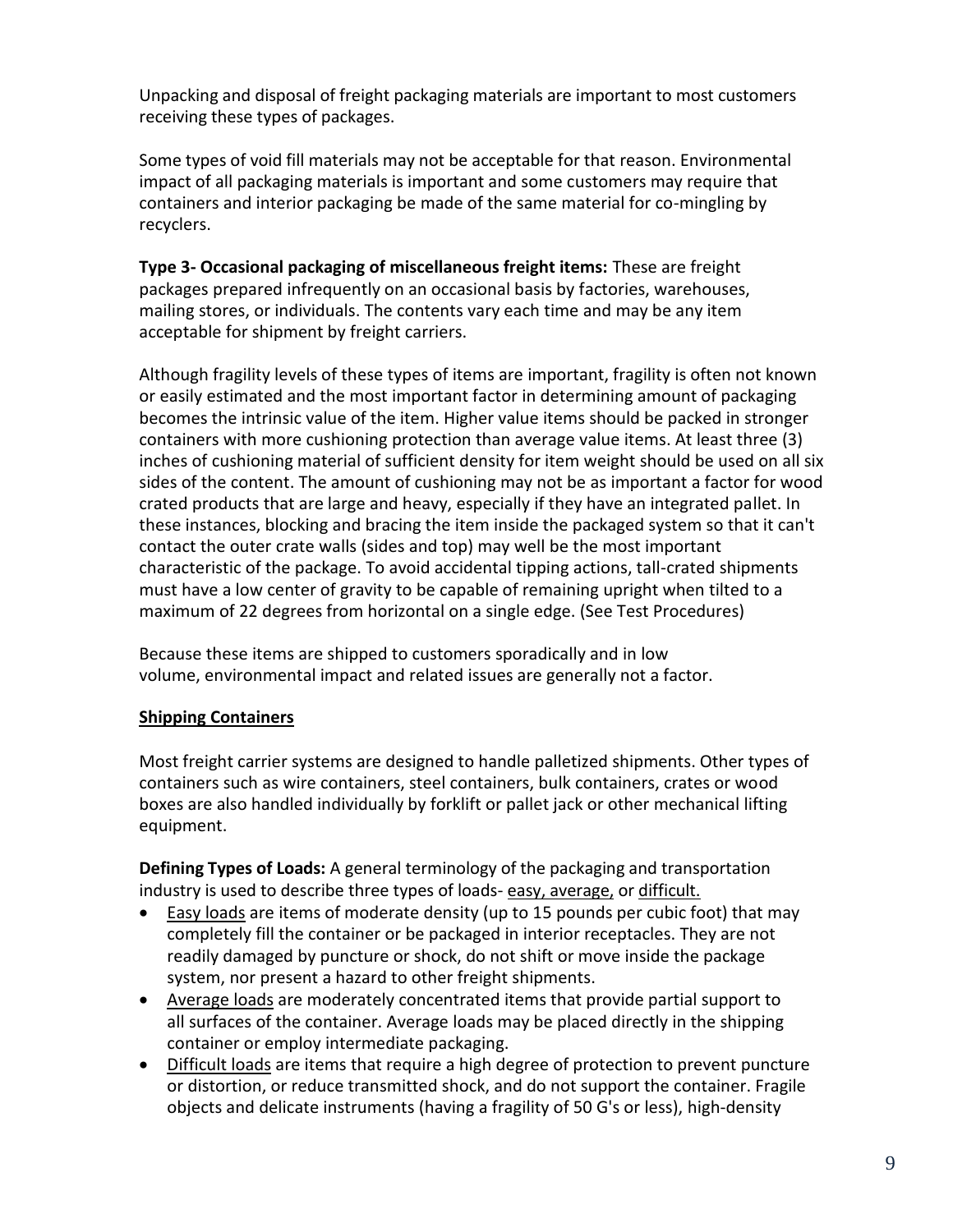Unpacking and disposal of freight packaging materials are important to most customers receiving these types of packages.

Some types of void fill materials may not be acceptable for that reason. Environmental impact of all packaging materials is important and some customers may require that containers and interior packaging be made of the same material for co-mingling by recyclers.

**Type 3- Occasional packaging of miscellaneous freight items:** These are freight packages prepared infrequently on an occasional basis by factories, warehouses, mailing stores, or individuals. The contents vary each time and may be any item acceptable for shipment by freight carriers.

Although fragility levels of these types of items are important, fragility is often not known or easily estimated and the most important factor in determining amount of packaging becomes the intrinsic value of the item. Higher value items should be packed in stronger containers with more cushioning protection than average value items. At least three (3) inches of cushioning material of sufficient density for item weight should be used on all six sides of the content. The amount of cushioning may not be as important a factor for wood crated products that are large and heavy, especially if they have an integrated pallet. In these instances, blocking and bracing the item inside the packaged system so that it can't contact the outer crate walls (sides and top) may well be the most important characteristic of the package. To avoid accidental tipping actions, tall-crated shipments must have a low center of gravity to be capable of remaining upright when tilted to a maximum of 22 degrees from horizontal on a single edge. (See Test Procedures)

Because these items are shipped to customers sporadically and in low volume, environmental impact and related issues are generally not a factor.

#### **Shipping Containers**

Most freight carrier systems are designed to handle palletized shipments. Other types of containers such as wire containers, steel containers, bulk containers, crates or wood boxes are also handled individually by forklift or pallet jack or other mechanical lifting equipment.

**Defining Types of Loads:** A general terminology of the packaging and transportation industry is used to describe three types of loads- easy, average, or difficult.

- Easy loads are items of moderate density (up to 15 pounds per cubic foot) that may completely fill the container or be packaged in interior receptacles. They are not readily damaged by puncture or shock, do not shift or move inside the package system, nor present a hazard to other freight shipments.
- Average loads are moderately concentrated items that provide partial support to all surfaces of the container. Average loads may be placed directly in the shipping container or employ intermediate packaging.
- Difficult loads are items that require a high degree of protection to prevent puncture or distortion, or reduce transmitted shock, and do not support the container. Fragile objects and delicate instruments (having a fragility of 50 G's or less), high-density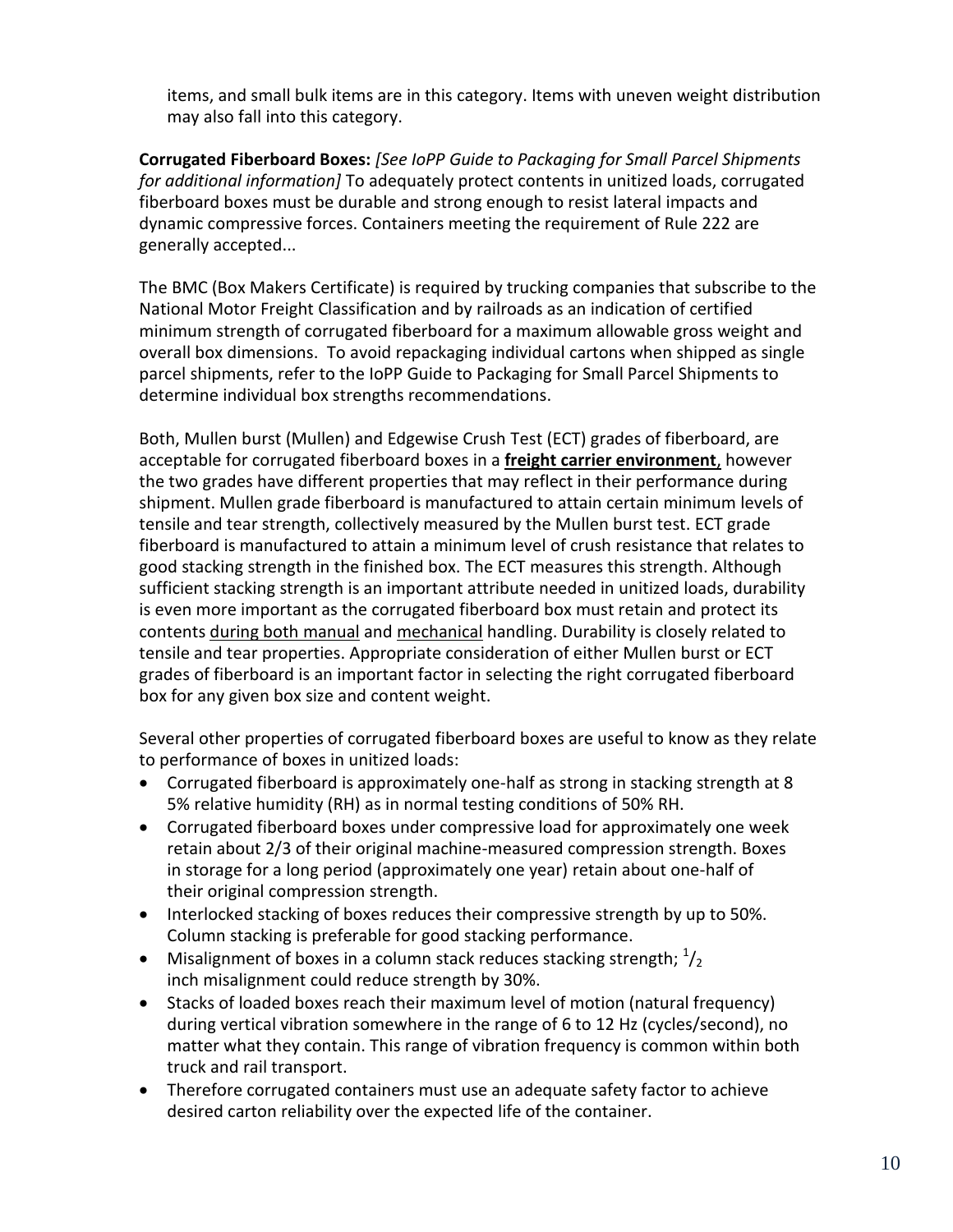items, and small bulk items are in this category. Items with uneven weight distribution may also fall into this category.

**Corrugated Fiberboard Boxes:** *[See IoPP Guide to Packaging for Small Parcel Shipments for additional information]* To adequately protect contents in unitized loads, corrugated fiberboard boxes must be durable and strong enough to resist lateral impacts and dynamic compressive forces. Containers meeting the requirement of Rule 222 are generally accepted...

The BMC (Box Makers Certificate) is required by trucking companies that subscribe to the National Motor Freight Classification and by railroads as an indication of certified minimum strength of corrugated fiberboard for a maximum allowable gross weight and overall box dimensions. To avoid repackaging individual cartons when shipped as single parcel shipments, refer to the IoPP Guide to Packaging for Small Parcel Shipments to determine individual box strengths recommendations.

Both, Mullen burst (Mullen) and Edgewise Crush Test (ECT) grades of fiberboard, are acceptable for corrugated fiberboard boxes in a **freight carrier environment**, however the two grades have different properties that may reflect in their performance during shipment. Mullen grade fiberboard is manufactured to attain certain minimum levels of tensile and tear strength, collectively measured by the Mullen burst test. ECT grade fiberboard is manufactured to attain a minimum level of crush resistance that relates to good stacking strength in the finished box. The ECT measures this strength. Although sufficient stacking strength is an important attribute needed in unitized loads, durability is even more important as the corrugated fiberboard box must retain and protect its contents during both manual and mechanical handling. Durability is closely related to tensile and tear properties. Appropriate consideration of either Mullen burst or ECT grades of fiberboard is an important factor in selecting the right corrugated fiberboard box for any given box size and content weight.

Several other properties of corrugated fiberboard boxes are useful to know as they relate to performance of boxes in unitized loads:

- Corrugated fiberboard is approximately one-half as strong in stacking strength at 8 5% relative humidity (RH) as in normal testing conditions of 50% RH.
- Corrugated fiberboard boxes under compressive load for approximately one week retain about 2/3 of their original machine-measured compression strength. Boxes in storage for a long period (approximately one year) retain about one-half of their original compression strength.
- Interlocked stacking of boxes reduces their compressive strength by up to 50%. Column stacking is preferable for good stacking performance.
- Misalignment of boxes in a column stack reduces stacking strength;  $\frac{1}{2}$ inch misalignment could reduce strength by 30%.
- Stacks of loaded boxes reach their maximum level of motion (natural frequency) during vertical vibration somewhere in the range of 6 to 12 Hz (cycles/second), no matter what they contain. This range of vibration frequency is common within both truck and rail transport.
- Therefore corrugated containers must use an adequate safety factor to achieve desired carton reliability over the expected life of the container.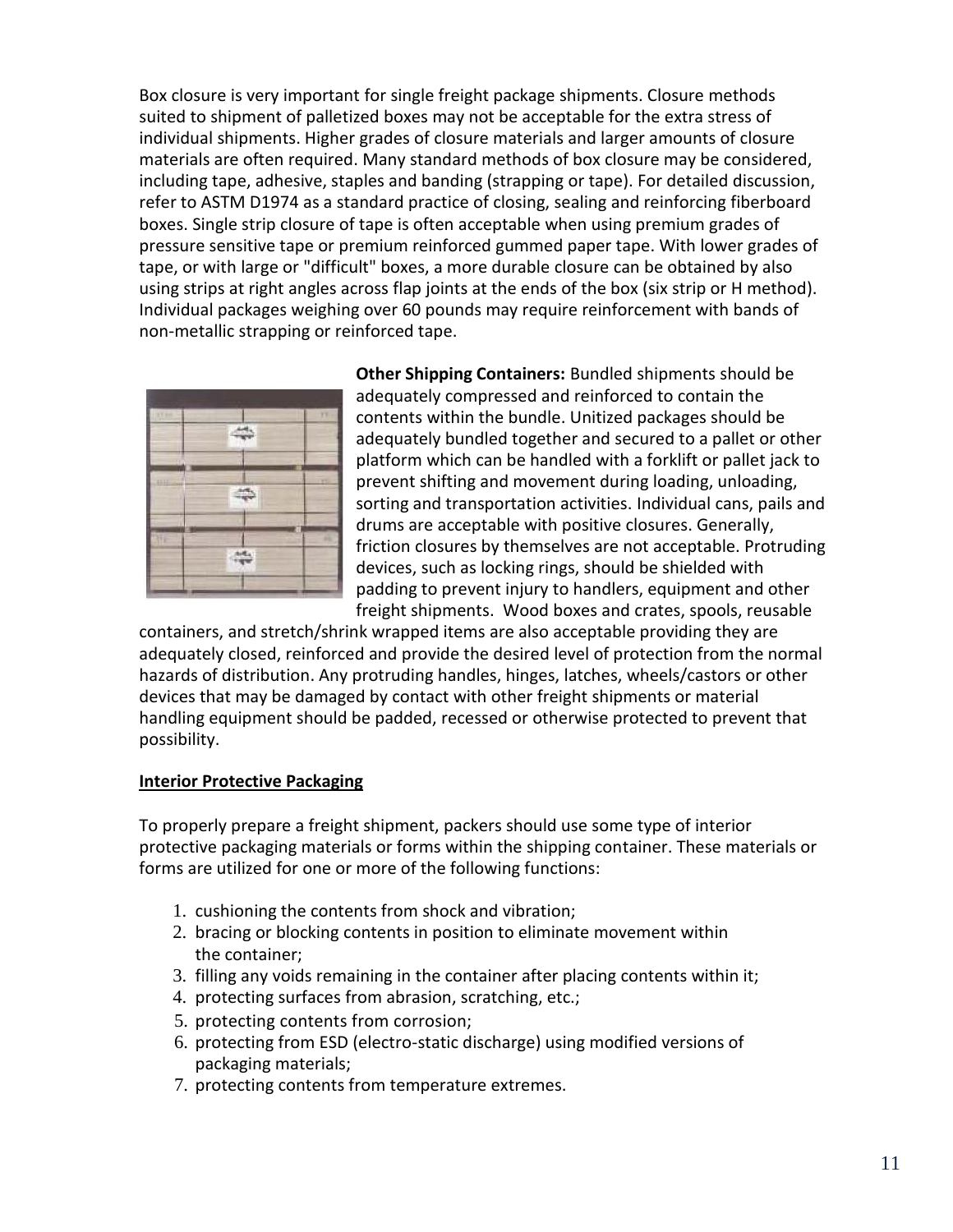Box closure is very important for single freight package shipments. Closure methods suited to shipment of palletized boxes may not be acceptable for the extra stress of individual shipments. Higher grades of closure materials and larger amounts of closure materials are often required. Many standard methods of box closure may be considered, including tape, adhesive, staples and banding (strapping or tape). For detailed discussion, refer to ASTM D1974 as a standard practice of closing, sealing and reinforcing fiberboard boxes. Single strip closure of tape is often acceptable when using premium grades of pressure sensitive tape or premium reinforced gummed paper tape. With lower grades of tape, or with large or "difficult" boxes, a more durable closure can be obtained by also using strips at right angles across flap joints at the ends of the box (six strip or H method). Individual packages weighing over 60 pounds may require reinforcement with bands of non-metallic strapping or reinforced tape.



**Other Shipping Containers:** Bundled shipments should be adequately compressed and reinforced to contain the contents within the bundle. Unitized packages should be adequately bundled together and secured to a pallet or other platform which can be handled with a forklift or pallet jack to prevent shifting and movement during loading, unloading, sorting and transportation activities. Individual cans, pails and drums are acceptable with positive closures. Generally, friction closures by themselves are not acceptable. Protruding devices, such as locking rings, should be shielded with padding to prevent injury to handlers, equipment and other freight shipments. Wood boxes and crates, spools, reusable

containers, and stretch/shrink wrapped items are also acceptable providing they are adequately closed, reinforced and provide the desired level of protection from the normal hazards of distribution. Any protruding handles, hinges, latches, wheels/castors or other devices that may be damaged by contact with other freight shipments or material handling equipment should be padded, recessed or otherwise protected to prevent that possibility.

#### **Interior Protective Packaging**

To properly prepare a freight shipment, packers should use some type of interior protective packaging materials or forms within the shipping container. These materials or forms are utilized for one or more of the following functions:

- 1. cushioning the contents from shock and vibration;
- 2. bracing or blocking contents in position to eliminate movement within the container;
- 3. filling any voids remaining in the container after placing contents within it;
- 4. protecting surfaces from abrasion, scratching, etc.;
- 5. protecting contents from corrosion;
- 6. protecting from ESD (electro-static discharge) using modified versions of packaging materials;
- 7. protecting contents from temperature extremes.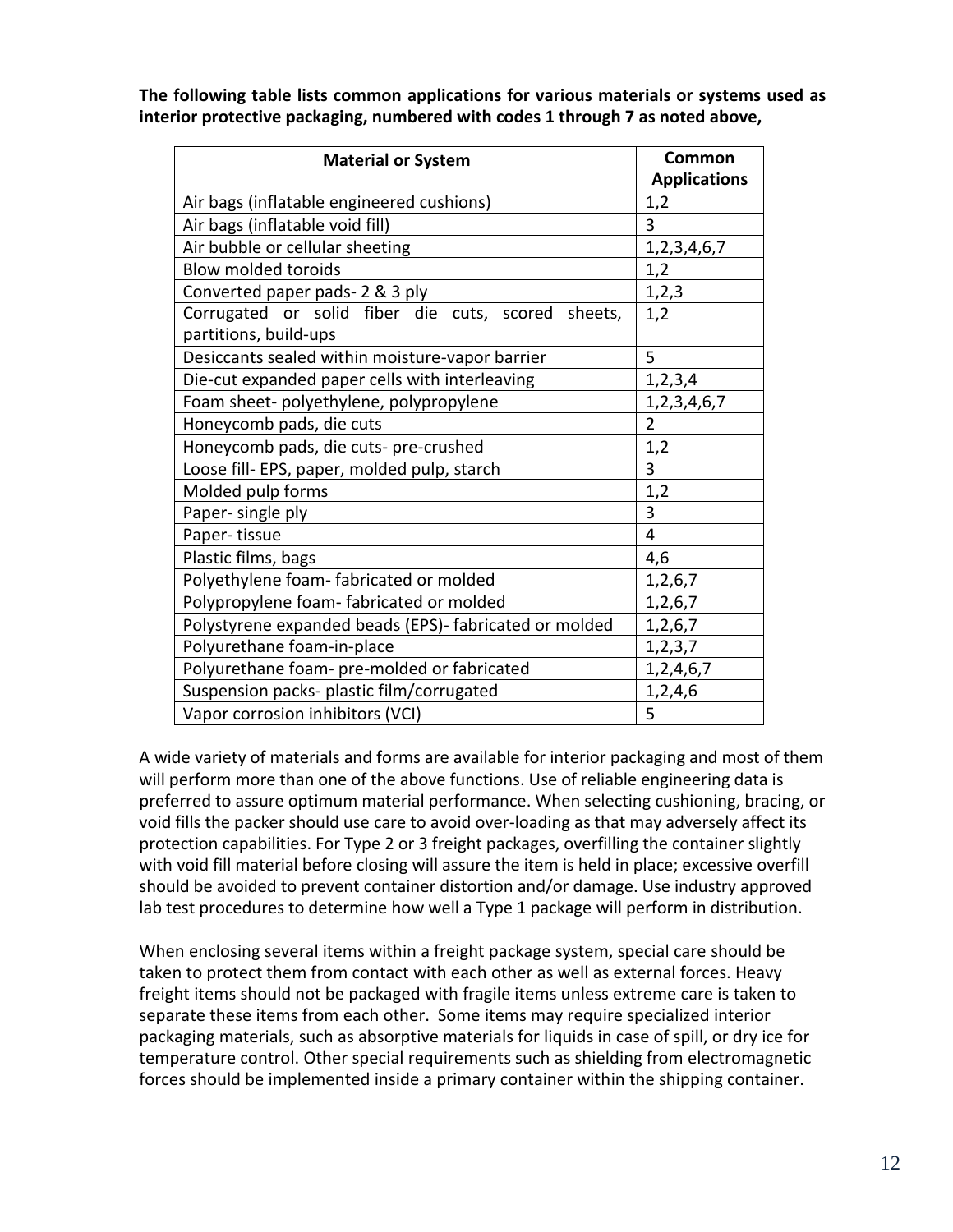**The following table lists common applications for various materials or systems used as interior protective packaging, numbered with codes 1 through 7 as noted above,**

| <b>Material or System</b>                                                   | Common<br><b>Applications</b> |
|-----------------------------------------------------------------------------|-------------------------------|
| Air bags (inflatable engineered cushions)                                   | 1,2                           |
| Air bags (inflatable void fill)                                             | 3                             |
| Air bubble or cellular sheeting                                             | 1, 2, 3, 4, 6, 7              |
| <b>Blow molded toroids</b>                                                  | 1,2                           |
| Converted paper pads- 2 & 3 ply                                             | 1,2,3                         |
| Corrugated or solid fiber die cuts, scored sheets,<br>partitions, build-ups | 1,2                           |
| Desiccants sealed within moisture-vapor barrier                             | 5                             |
| Die-cut expanded paper cells with interleaving                              | 1,2,3,4                       |
| Foam sheet- polyethylene, polypropylene                                     | 1, 2, 3, 4, 6, 7              |
| Honeycomb pads, die cuts                                                    | $\overline{2}$                |
| Honeycomb pads, die cuts- pre-crushed                                       | 1,2                           |
| Loose fill- EPS, paper, molded pulp, starch                                 | $\overline{3}$                |
| Molded pulp forms                                                           | 1,2                           |
| Paper- single ply                                                           | $\overline{3}$                |
| Paper-tissue                                                                | $\overline{4}$                |
| Plastic films, bags                                                         | 4,6                           |
| Polyethylene foam-fabricated or molded                                      | 1,2,6,7                       |
| Polypropylene foam-fabricated or molded                                     | 1,2,6,7                       |
| Polystyrene expanded beads (EPS)- fabricated or molded                      | 1,2,6,7                       |
| Polyurethane foam-in-place                                                  | 1, 2, 3, 7                    |
| Polyurethane foam- pre-molded or fabricated                                 | 1, 2, 4, 6, 7                 |
| Suspension packs- plastic film/corrugated                                   | 1,2,4,6                       |
| Vapor corrosion inhibitors (VCI)                                            | 5                             |

A wide variety of materials and forms are available for interior packaging and most of them will perform more than one of the above functions. Use of reliable engineering data is preferred to assure optimum material performance. When selecting cushioning, bracing, or void fills the packer should use care to avoid over-loading as that may adversely affect its protection capabilities. For Type 2 or 3 freight packages, overfilling the container slightly with void fill material before closing will assure the item is held in place; excessive overfill should be avoided to prevent container distortion and/or damage. Use industry approved lab test procedures to determine how well a Type 1 package will perform in distribution.

When enclosing several items within a freight package system, special care should be taken to protect them from contact with each other as well as external forces. Heavy freight items should not be packaged with fragile items unless extreme care is taken to separate these items from each other. Some items may require specialized interior packaging materials, such as absorptive materials for liquids in case of spill, or dry ice for temperature control. Other special requirements such as shielding from electromagnetic forces should be implemented inside a primary container within the shipping container.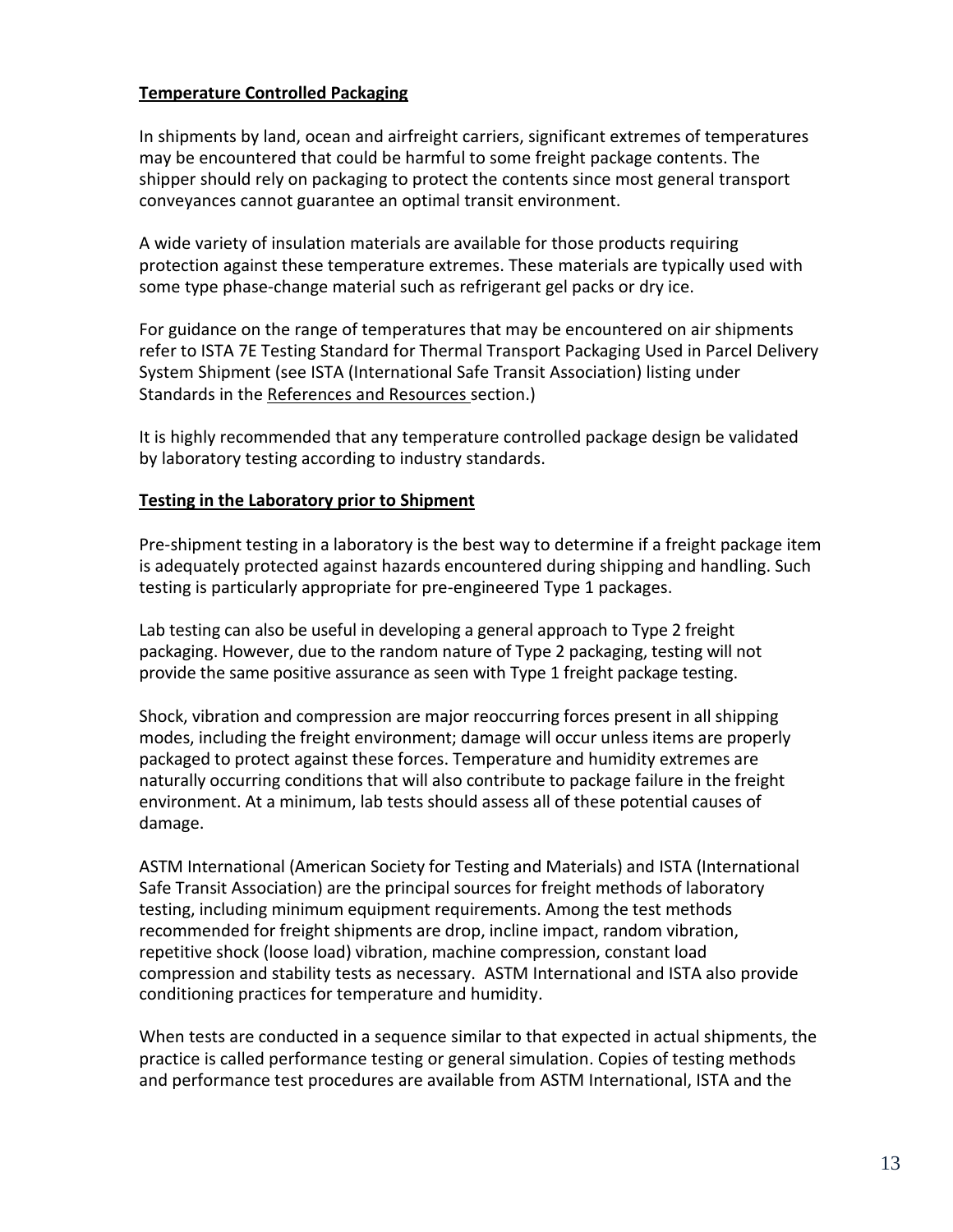#### **Temperature Controlled Packaging**

In shipments by land, ocean and airfreight carriers, significant extremes of temperatures may be encountered that could be harmful to some freight package contents. The shipper should rely on packaging to protect the contents since most general transport conveyances cannot guarantee an optimal transit environment.

A wide variety of insulation materials are available for those products requiring protection against these temperature extremes. These materials are typically used with some type phase-change material such as refrigerant gel packs or dry ice.

For guidance on the range of temperatures that may be encountered on air shipments refer to ISTA 7E Testing Standard for Thermal Transport Packaging Used in Parcel Delivery System Shipment (see ISTA (International Safe Transit Association) listing under Standards in the References and Resources section.)

It is highly recommended that any temperature controlled package design be validated by laboratory testing according to industry standards.

#### **Testing in the Laboratory prior to Shipment**

Pre-shipment testing in a laboratory is the best way to determine if a freight package item is adequately protected against hazards encountered during shipping and handling. Such testing is particularly appropriate for pre-engineered Type 1 packages.

Lab testing can also be useful in developing a general approach to Type 2 freight packaging. However, due to the random nature of Type 2 packaging, testing will not provide the same positive assurance as seen with Type 1 freight package testing.

Shock, vibration and compression are major reoccurring forces present in all shipping modes, including the freight environment; damage will occur unless items are properly packaged to protect against these forces. Temperature and humidity extremes are naturally occurring conditions that will also contribute to package failure in the freight environment. At a minimum, lab tests should assess all of these potential causes of damage.

ASTM International (American Society for Testing and Materials) and ISTA (International Safe Transit Association) are the principal sources for freight methods of laboratory testing, including minimum equipment requirements. Among the test methods recommended for freight shipments are drop, incline impact, random vibration, repetitive shock (loose load) vibration, machine compression, constant load compression and stability tests as necessary. ASTM International and ISTA also provide conditioning practices for temperature and humidity.

When tests are conducted in a sequence similar to that expected in actual shipments, the practice is called performance testing or general simulation. Copies of testing methods and performance test procedures are available from ASTM International, ISTA and the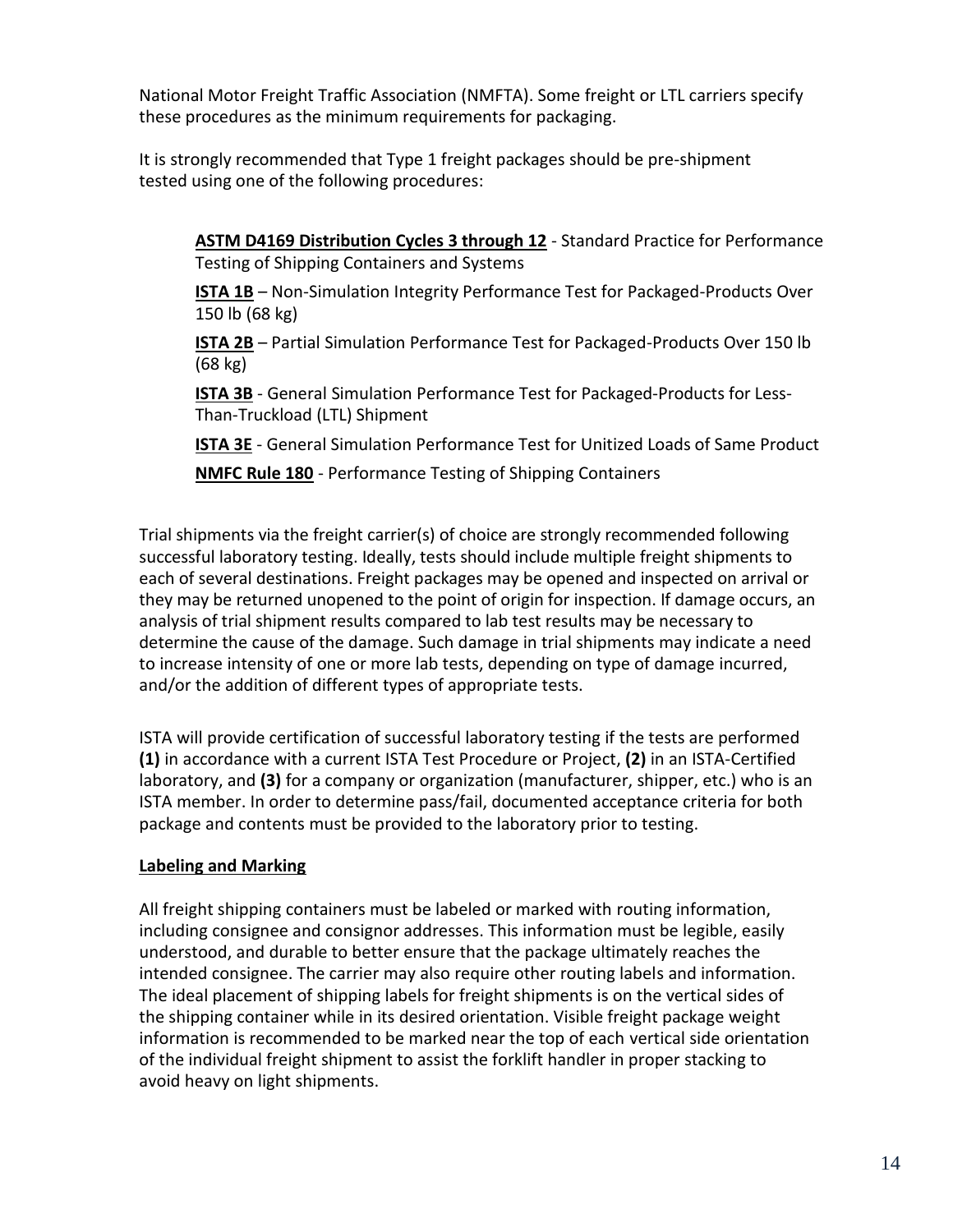National Motor Freight Traffic Association (NMFTA). Some freight or LTL carriers specify these procedures as the minimum requirements for packaging.

It is strongly recommended that Type 1 freight packages should be pre-shipment tested using one of the following procedures:

**ASTM D4169 Distribution Cycles 3 through 12** - Standard Practice for Performance Testing of Shipping Containers and Systems

**ISTA 1B** – Non-Simulation Integrity Performance Test for Packaged-Products Over 150 lb (68 kg)

**ISTA 2B** – Partial Simulation Performance Test for Packaged-Products Over 150 lb (68 kg)

**ISTA 3B** - General Simulation Performance Test for Packaged-Products for Less-Than-Truckload (LTL) Shipment

**ISTA 3E** - General Simulation Performance Test for Unitized Loads of Same Product

**NMFC Rule 180** - Performance Testing of Shipping Containers

Trial shipments via the freight carrier(s) of choice are strongly recommended following successful laboratory testing. Ideally, tests should include multiple freight shipments to each of several destinations. Freight packages may be opened and inspected on arrival or they may be returned unopened to the point of origin for inspection. If damage occurs, an analysis of trial shipment results compared to lab test results may be necessary to determine the cause of the damage. Such damage in trial shipments may indicate a need to increase intensity of one or more lab tests, depending on type of damage incurred, and/or the addition of different types of appropriate tests.

ISTA will provide certification of successful laboratory testing if the tests are performed **(1)** in accordance with a current ISTA Test Procedure or Project, **(2)** in an ISTA-Certified laboratory, and **(3)** for a company or organization (manufacturer, shipper, etc.) who is an ISTA member. In order to determine pass/fail, documented acceptance criteria for both package and contents must be provided to the laboratory prior to testing.

#### **Labeling and Marking**

All freight shipping containers must be labeled or marked with routing information, including consignee and consignor addresses. This information must be legible, easily understood, and durable to better ensure that the package ultimately reaches the intended consignee. The carrier may also require other routing labels and information. The ideal placement of shipping labels for freight shipments is on the vertical sides of the shipping container while in its desired orientation. Visible freight package weight information is recommended to be marked near the top of each vertical side orientation of the individual freight shipment to assist the forklift handler in proper stacking to avoid heavy on light shipments.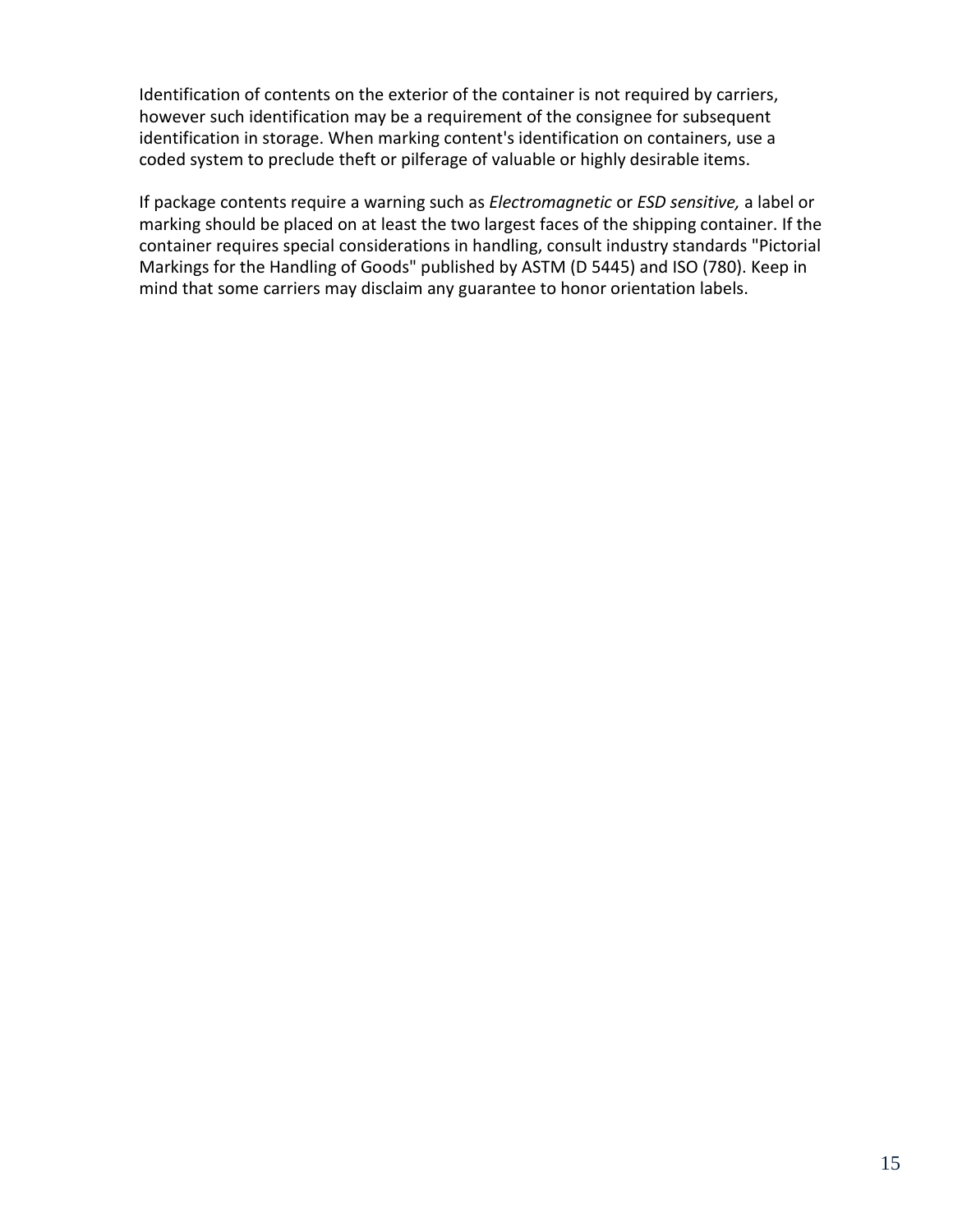Identification of contents on the exterior of the container is not required by carriers, however such identification may be a requirement of the consignee for subsequent identification in storage. When marking content's identification on containers, use a coded system to preclude theft or pilferage of valuable or highly desirable items.

If package contents require a warning such as *Electromagnetic* or *ESD sensitive,* a label or marking should be placed on at least the two largest faces of the shipping container. If the container requires special considerations in handling, consult industry standards "Pictorial Markings for the Handling of Goods" published by ASTM (D 5445) and ISO (780). Keep in mind that some carriers may disclaim any guarantee to honor orientation labels.